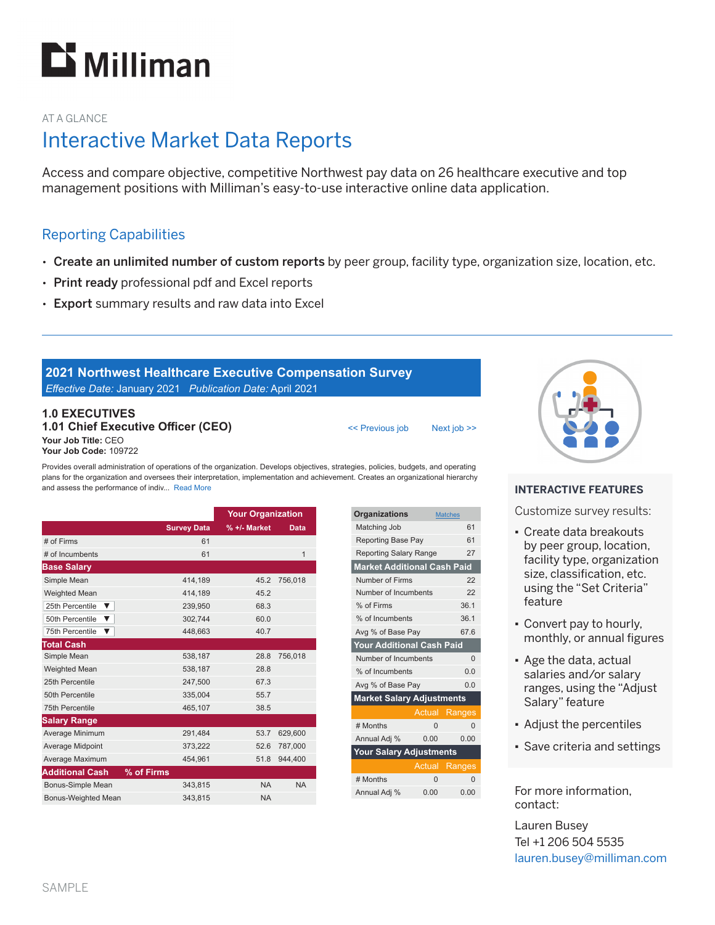

### AT A GLANCE

# Interactive Market Data Reports

Access and compare objective, competitive Northwest pay data on 26 healthcare executive and top management positions with Milliman's easy-to-use interactive online data application.

## Reporting Capabilities

- Create an unlimited number of custom reports by peer group, facility type, organization size, location, etc.
- Print ready professional pdf and Excel reports
- Export summary results and raw data into Excel

### **2021 Northwest Healthcare Executive Compensation Survey** *Eff ective Date:* January 2021 *Publication Date:* April 2021

#### **1.0 EXECUTIVES 1.01 Chief Executive Officer (CEO) Your Job Title:** CEO **Your Job Code:** 109722

Provides overall administration of operations of the organization. Develops objectives, strategies, policies, budgets, and operating plans for the organization and oversees their interpretation, implementation and achievement. Creates an organizational hierarchy and assess the performance of indiv... Read More

|                        |                    | <b>Your Organization</b> |             |
|------------------------|--------------------|--------------------------|-------------|
|                        | <b>Survey Data</b> | % +/- Market             | <b>Data</b> |
| # of Firms             | 61                 |                          |             |
| # of Incumbents        | 61                 |                          | 1           |
| <b>Base Salary</b>     |                    |                          |             |
| Simple Mean            | 414.189            | 45.2                     | 756,018     |
| <b>Weighted Mean</b>   | 414.189            | 45.2                     |             |
| 25th Percentile<br>▼   | 239,950            | 68.3                     |             |
| 50th Percentile<br>▼   | 302,744            | 60.0                     |             |
| 75th Percentile<br>▼   | 448,663            | 40.7                     |             |
| <b>Total Cash</b>      |                    |                          |             |
| Simple Mean            | 538,187            | 28.8                     | 756,018     |
| <b>Weighted Mean</b>   | 538,187            | 28.8                     |             |
| 25th Percentile        | 247,500            | 67.3                     |             |
| 50th Percentile        | 335,004            | 55.7                     |             |
| 75th Percentile        | 465,107            | 38.5                     |             |
| <b>Salary Range</b>    |                    |                          |             |
| Average Minimum        | 291,484            | 53.7                     | 629,600     |
| Average Midpoint       | 373,222            | 52.6                     | 787,000     |
| Average Maximum        | 454,961            | 51.8                     | 944,400     |
| <b>Additional Cash</b> | % of Firms         |                          |             |
| Bonus-Simple Mean      | 343,815            | <b>NA</b>                | <b>NA</b>   |
| Bonus-Weighted Mean    | 343.815            | <b>NA</b>                |             |

| <b>Organizations</b>               |          | <b>Matches</b> |  |  |
|------------------------------------|----------|----------------|--|--|
| Matching Job                       |          | 61             |  |  |
| <b>Reporting Base Pay</b>          | 61       |                |  |  |
| <b>Reporting Salary Range</b>      | 27       |                |  |  |
| <b>Market Additional Cash Paid</b> |          |                |  |  |
| Number of Firms                    | 22       |                |  |  |
| Number of Incumbents               | 22       |                |  |  |
| % of Firms                         | 36.1     |                |  |  |
| % of Incumbents                    | 36.1     |                |  |  |
| Avg % of Base Pay                  | 67.6     |                |  |  |
| Your Additional Cash Paid          |          |                |  |  |
| Number of Incumbents<br>$\Omega$   |          |                |  |  |
| % of Incumbents                    | 0.0      |                |  |  |
| Avg % of Base Pay                  | 0.0      |                |  |  |
| <b>Market Salary Adjustments</b>   |          |                |  |  |
|                                    | Actual   | Ranges         |  |  |
|                                    |          |                |  |  |
| # Months                           | $\Omega$ | $\Omega$       |  |  |
| Annual Adj %                       | 0.00     | 0.00           |  |  |
| Your Salary Adjustments            |          |                |  |  |
|                                    | Actual   | Ranges         |  |  |
| # Months                           | $\Omega$ | $\Omega$       |  |  |

<< Previous job Next job >>



#### **INTERACTIVE FEATURES**

Customize survey results:

- Create data breakouts by peer group, location, facility type, organization size, classification, etc. using the "Set Criteria" feature
- Convert pay to hourly, monthly, or annual figures
- Age the data, actual salaries and/or salary ranges, using the "Adjust Salary" feature
- Adjust the percentiles
- Save criteria and settings

For more information, contact:

Lauren Busey Tel +1 206 504 5535 lauren.busey@milliman.com